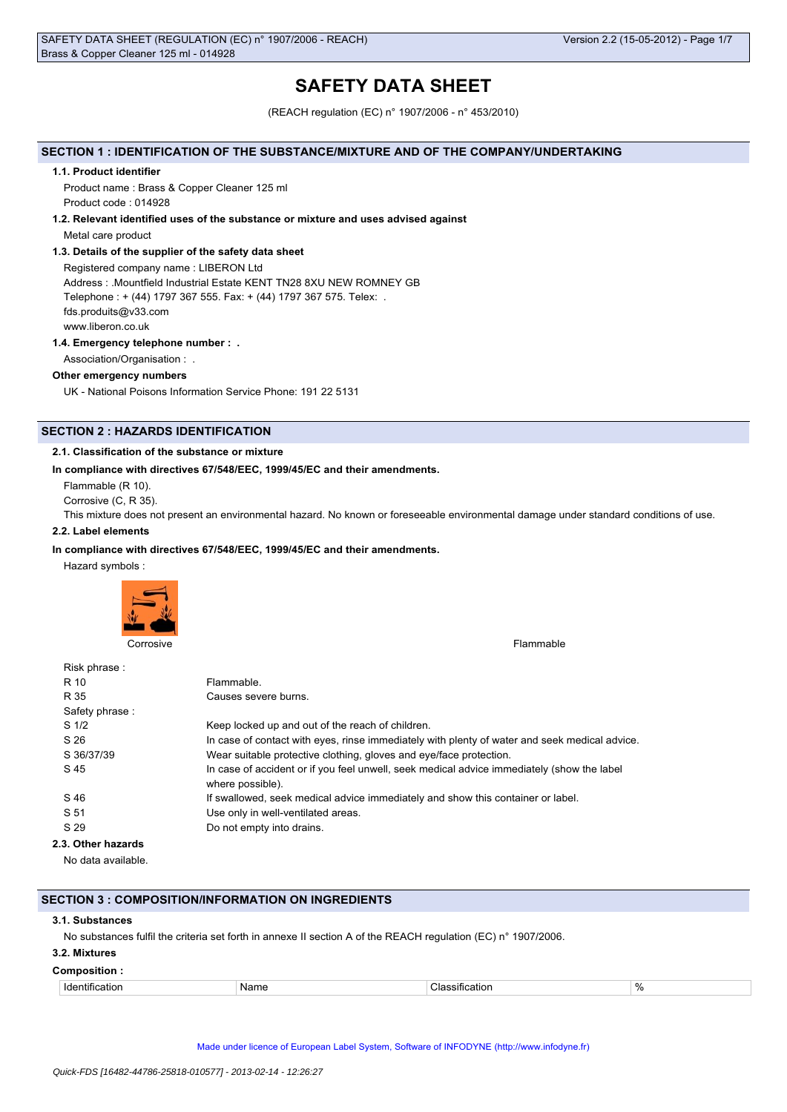# **SAFETY DATA SHEET**

(REACH regulation (EC) n° 1907/2006 - n° 453/2010)

## **SECTION 1 : IDENTIFICATION OF THE SUBSTANCE/MIXTURE AND OF THE COMPANY/UNDERTAKING**

#### **1.1. Product identifier**

Product name : Brass & Copper Cleaner 125 ml Product code : 014928

#### **1.2. Relevant identified uses of the substance or mixture and uses advised against**

Metal care product

## **1.3. Details of the supplier of the safety data sheet**

Registered company name : LIBERON Ltd Address : .Mountfield Industrial Estate KENT TN28 8XU NEW ROMNEY GB Telephone : + (44) 1797 367 555. Fax: + (44) 1797 367 575. Telex: . fds.produits@v33.com www.liberon.co.uk

## **1.4. Emergency telephone number : .**

Association/Organisation : .

### **Other emergency numbers**

UK - National Poisons Information Service Phone: 191 22 5131

## **SECTION 2 : HAZARDS IDENTIFICATION**

## **2.1. Classification of the substance or mixture**

### **In compliance with directives 67/548/EEC, 1999/45/EC and their amendments.**

Flammable (R 10).

Corrosive (C, R 35).

This mixture does not present an environmental hazard. No known or foreseeable environmental damage under standard conditions of use.

## **2.2. Label elements**

## **In compliance with directives 67/548/EEC, 1999/45/EC and their amendments.**

Hazard symbols :



Corrosive Flammable

| Risk phrase:       |                                                                                               |
|--------------------|-----------------------------------------------------------------------------------------------|
| R 10               | Flammable.                                                                                    |
| R 35               | Causes severe burns.                                                                          |
| Safety phrase:     |                                                                                               |
| S <sub>1/2</sub>   | Keep locked up and out of the reach of children.                                              |
| S 26               | In case of contact with eyes, rinse immediately with plenty of water and seek medical advice. |
| S 36/37/39         | Wear suitable protective clothing, gloves and eye/face protection.                            |
| S 45               | In case of accident or if you feel unwell, seek medical advice immediately (show the label    |
|                    | where possible).                                                                              |
| S 46               | If swallowed, seek medical advice immediately and show this container or label.               |
| S 51               | Use only in well-ventilated areas.                                                            |
| S 29               | Do not empty into drains.                                                                     |
| 2.3. Other hazards |                                                                                               |
|                    |                                                                                               |

No data available.

#### **SECTION 3 : COMPOSITION/INFORMATION ON INGREDIENTS**

#### **3.1. Substances**

No substances fulfil the criteria set forth in annexe II section A of the REACH regulation (EC) n° 1907/2006.

## **3.2. Mixtures**

#### **Composition :**

Identification Name Classification %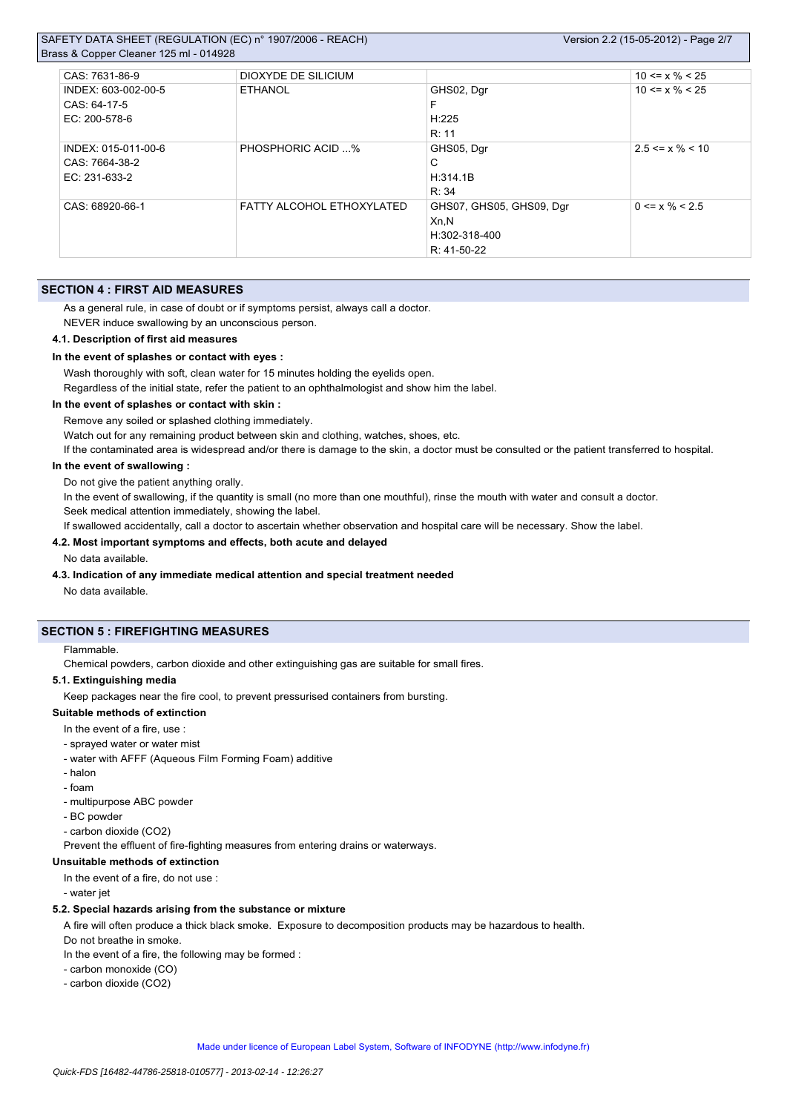## SAFETY DATA SHEET (REGULATION (EC) n° 1907/2006 - REACH) Brass & Copper Cleaner 125 ml - 0149

| $\frac{1}{2}$ as $\alpha$ Copper Ciearier TZJ IIII - 0 14920 |                           |                          |                       |
|--------------------------------------------------------------|---------------------------|--------------------------|-----------------------|
| CAS: 7631-86-9                                               | DIOXYDE DE SILICIUM       |                          | $10 \le x \% \le 25$  |
| INDEX: 603-002-00-5                                          | ETHANOL                   | GHS02, Dgr               | $10 \le x \% \le 25$  |
| CAS: 64-17-5                                                 |                           | F                        |                       |
| EC: 200-578-6                                                |                           | H:225                    |                       |
|                                                              |                           | R: 11                    |                       |
| INDEX: 015-011-00-6                                          | <b>PHOSPHORIC ACID %</b>  | GHS05, Dgr               | $2.5 \le x \% \le 10$ |
| CAS: 7664-38-2                                               |                           | С                        |                       |
| EC: 231-633-2                                                |                           | H:314.1B                 |                       |
|                                                              |                           | R: 34                    |                       |
| CAS: 68920-66-1                                              | FATTY ALCOHOL ETHOXYLATED | GHS07, GHS05, GHS09, Dgr | $0 \le x \% \le 2.5$  |
|                                                              |                           | Xn,N                     |                       |
|                                                              |                           | H:302-318-400            |                       |
|                                                              |                           | R: 41-50-22              |                       |

## **SECTION 4 : FIRST AID MEASURES**

As a general rule, in case of doubt or if symptoms persist, always call a doctor.

NEVER induce swallowing by an unconscious person.

## **4.1. Description of first aid measures**

#### **In the event of splashes or contact with eyes :**

Wash thoroughly with soft, clean water for 15 minutes holding the eyelids open.

Regardless of the initial state, refer the patient to an ophthalmologist and show him the label.

### **In the event of splashes or contact with skin :**

Remove any soiled or splashed clothing immediately.

Watch out for any remaining product between skin and clothing, watches, shoes, etc.

If the contaminated area is widespread and/or there is damage to the skin, a doctor must be consulted or the patient transferred to hospital.

#### **In the event of swallowing :**

Do not give the patient anything orally.

In the event of swallowing, if the quantity is small (no more than one mouthful), rinse the mouth with water and consult a doctor. Seek medical attention immediately, showing the label.

If swallowed accidentally, call a doctor to ascertain whether observation and hospital care will be necessary. Show the label.

## **4.2. Most important symptoms and effects, both acute and delayed**

#### No data available.

**4.3. Indication of any immediate medical attention and special treatment needed**

No data available.

## **SECTION 5 : FIREFIGHTING MEASURES**

#### Flammable.

Chemical powders, carbon dioxide and other extinguishing gas are suitable for small fires.

#### **5.1. Extinguishing media**

Keep packages near the fire cool, to prevent pressurised containers from bursting.

## **Suitable methods of extinction**

#### In the event of a fire, use :

- sprayed water or water mist
- water with AFFF (Aqueous Film Forming Foam) additive
- halon
- foam
- multipurpose ABC powder
- BC powder
- carbon dioxide (CO2)

Prevent the effluent of fire-fighting measures from entering drains or waterways.

## **Unsuitable methods of extinction**

- In the event of a fire, do not use :
- water jet

### **5.2. Special hazards arising from the substance or mixture**

A fire will often produce a thick black smoke. Exposure to decomposition products may be hazardous to health.

- Do not breathe in smoke.
- In the event of a fire, the following may be formed :
- carbon monoxide (CO)
- carbon dioxide (CO2)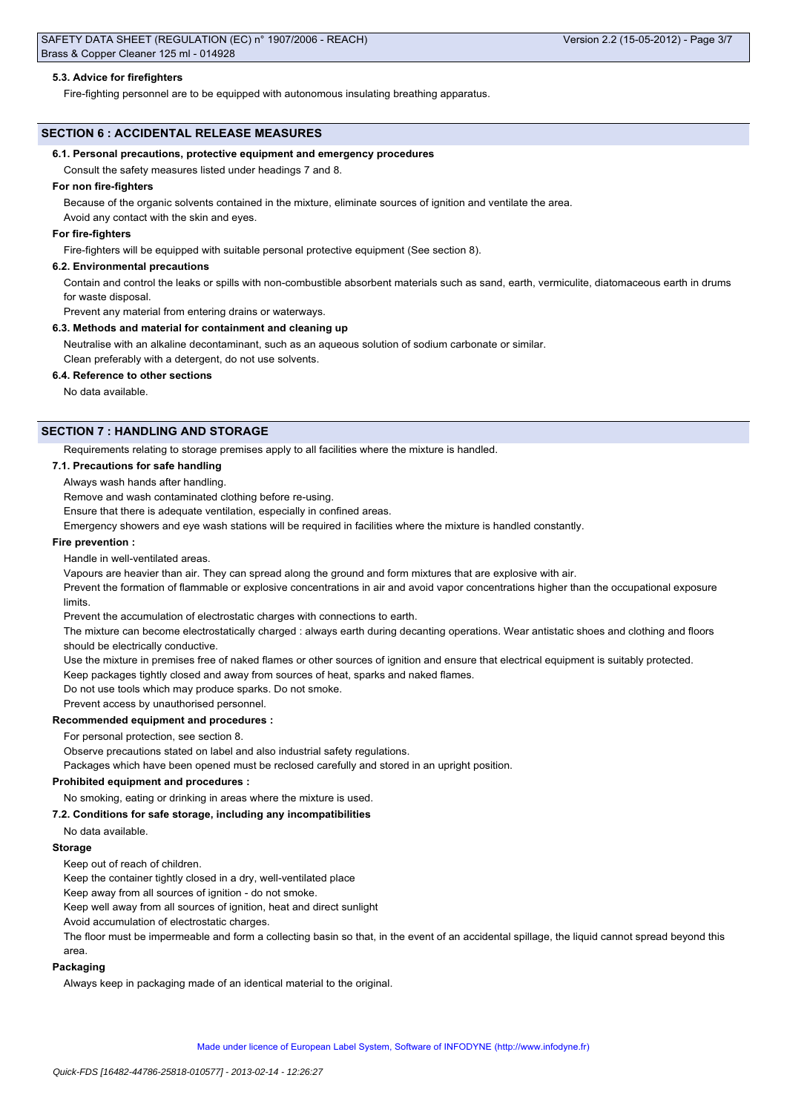## **5.3. Advice for firefighters**

Fire-fighting personnel are to be equipped with autonomous insulating breathing apparatus.

## **SECTION 6 : ACCIDENTAL RELEASE MEASURES**

#### **6.1. Personal precautions, protective equipment and emergency procedures**

Consult the safety measures listed under headings 7 and 8.

#### **For non fire-fighters**

Because of the organic solvents contained in the mixture, eliminate sources of ignition and ventilate the area. Avoid any contact with the skin and eyes.

#### **For fire-fighters**

Fire-fighters will be equipped with suitable personal protective equipment (See section 8).

### **6.2. Environmental precautions**

Contain and control the leaks or spills with non-combustible absorbent materials such as sand, earth, vermiculite, diatomaceous earth in drums for waste disposal.

Prevent any material from entering drains or waterways.

#### **6.3. Methods and material for containment and cleaning up**

Neutralise with an alkaline decontaminant, such as an aqueous solution of sodium carbonate or similar. Clean preferably with a detergent, do not use solvents.

### **6.4. Reference to other sections**

No data available.

## **SECTION 7 : HANDLING AND STORAGE**

Requirements relating to storage premises apply to all facilities where the mixture is handled.

### **7.1. Precautions for safe handling**

### Always wash hands after handling.

Remove and wash contaminated clothing before re-using.

Ensure that there is adequate ventilation, especially in confined areas.

Emergency showers and eye wash stations will be required in facilities where the mixture is handled constantly.

## **Fire prevention :**

Handle in well-ventilated areas.

Vapours are heavier than air. They can spread along the ground and form mixtures that are explosive with air.

Prevent the formation of flammable or explosive concentrations in air and avoid vapor concentrations higher than the occupational exposure limits.

Prevent the accumulation of electrostatic charges with connections to earth.

The mixture can become electrostatically charged : always earth during decanting operations. Wear antistatic shoes and clothing and floors should be electrically conductive.

Use the mixture in premises free of naked flames or other sources of ignition and ensure that electrical equipment is suitably protected.

Keep packages tightly closed and away from sources of heat, sparks and naked flames.

Do not use tools which may produce sparks. Do not smoke.

Prevent access by unauthorised personnel.

## **Recommended equipment and procedures :**

For personal protection, see section 8.

Observe precautions stated on label and also industrial safety regulations.

Packages which have been opened must be reclosed carefully and stored in an upright position.

## **Prohibited equipment and procedures :**

No smoking, eating or drinking in areas where the mixture is used.

## **7.2. Conditions for safe storage, including any incompatibilities**

## No data available.

## **Storage**

Keep out of reach of children.

Keep the container tightly closed in a dry, well-ventilated place

Keep away from all sources of ignition - do not smoke.

Keep well away from all sources of ignition, heat and direct sunlight

Avoid accumulation of electrostatic charges.

The floor must be impermeable and form a collecting basin so that, in the event of an accidental spillage, the liquid cannot spread beyond this area.

#### **Packaging**

Always keep in packaging made of an identical material to the original.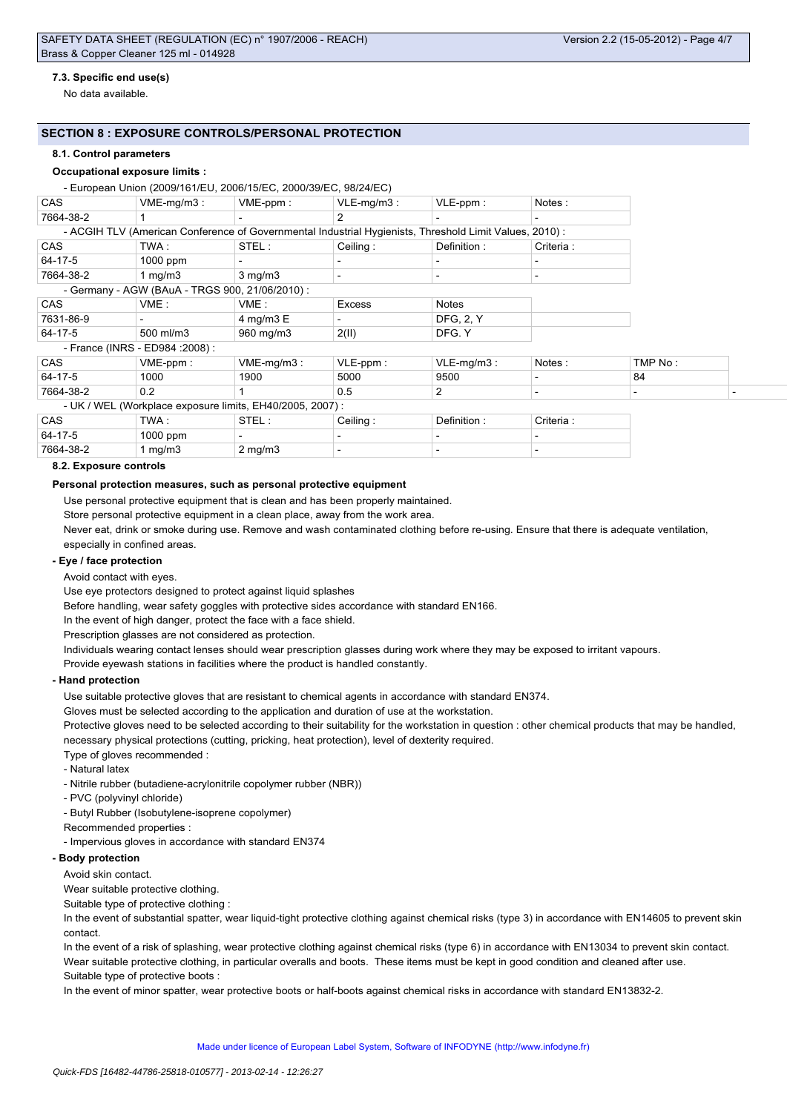## **7.3. Specific end use(s)**

No data available.

## **SECTION 8 : EXPOSURE CONTROLS/PERSONAL PROTECTION**

#### **8.1. Control parameters**

#### **Occupational exposure limits :**

## $E_{\text{min}}$  (2000/161/EU, 2006/15/EC, 2000/20/EC, 08/24/EC)

|            | - European Union (2009/161/EU, 2006/13/EU, 2000/39/EU, 96/24/EU)                                       |                  |               |                  |                          |         |  |
|------------|--------------------------------------------------------------------------------------------------------|------------------|---------------|------------------|--------------------------|---------|--|
| <b>CAS</b> | $VME-mq/m3$ :                                                                                          | $VME-ppm$ :      | $VLE-mq/m3$ : | $VLE-ppm$ :      | Notes:                   |         |  |
| 7664-38-2  |                                                                                                        |                  | 2             |                  |                          |         |  |
|            | - ACGIH TLV (American Conference of Governmental Industrial Hygienists, Threshold Limit Values, 2010): |                  |               |                  |                          |         |  |
| <b>CAS</b> | TWA :                                                                                                  | STEL:            | Ceiling:      | Definition :     | Criteria :               |         |  |
| 64-17-5    | 1000 ppm                                                                                               |                  |               |                  |                          |         |  |
| 7664-38-2  | 1 mg/m3                                                                                                | $3 \text{ mg/m}$ |               |                  | $\overline{\phantom{a}}$ |         |  |
|            | - Germany - AGW (BAuA - TRGS 900, 21/06/2010) :                                                        |                  |               |                  |                          |         |  |
| <b>CAS</b> | VME:                                                                                                   | VME:             | <b>Excess</b> | <b>Notes</b>     |                          |         |  |
| 7631-86-9  |                                                                                                        | 4 mg/m $3 E$     |               | <b>DFG, 2, Y</b> |                          |         |  |
| 64-17-5    | 500 ml/m3                                                                                              | 960 mg/m3        | 2(II)         | DFG. Y           |                          |         |  |
|            | - France (INRS - ED984 : 2008) :                                                                       |                  |               |                  |                          |         |  |
| <b>CAS</b> | $VME-ppm$ :                                                                                            | $VME-mg/m3$ :    | $VLE-ppm$ :   | $VLE-mq/m3$ :    | Notes:                   | TMP No: |  |
| 64-17-5    | 1000                                                                                                   | 1900             | 5000          | 9500             |                          | 84      |  |
| 7664-38-2  | 0.2                                                                                                    |                  | 0.5           | 2                |                          |         |  |
|            | - UK / WEL (Workplace exposure limits, EH40/2005, 2007) :                                              |                  |               |                  |                          |         |  |
| <b>CAS</b> | TWA :                                                                                                  | STEL:            | Ceiling:      | Definition :     | Criteria :               |         |  |
| 64-17-5    | 1000 ppm                                                                                               |                  |               |                  |                          |         |  |
| 7664-38-2  | 1 mg/m $3$                                                                                             | $2 \text{ mg/m}$ |               |                  |                          |         |  |

#### **8.2. Exposure controls**

#### **Personal protection measures, such as personal protective equipment**

Use personal protective equipment that is clean and has been properly maintained.

Store personal protective equipment in a clean place, away from the work area.

Never eat, drink or smoke during use. Remove and wash contaminated clothing before re-using. Ensure that there is adequate ventilation, especially in confined areas.

## **- Eye / face protection**

Avoid contact with eyes.

Use eye protectors designed to protect against liquid splashes

Before handling, wear safety goggles with protective sides accordance with standard EN166.

In the event of high danger, protect the face with a face shield.

Prescription glasses are not considered as protection.

Individuals wearing contact lenses should wear prescription glasses during work where they may be exposed to irritant vapours.

Provide eyewash stations in facilities where the product is handled constantly.

#### **- Hand protection**

Use suitable protective gloves that are resistant to chemical agents in accordance with standard EN374.

Gloves must be selected according to the application and duration of use at the workstation.

Protective gloves need to be selected according to their suitability for the workstation in question : other chemical products that may be handled, necessary physical protections (cutting, pricking, heat protection), level of dexterity required.

Type of gloves recommended :

- Natural latex
- Nitrile rubber (butadiene-acrylonitrile copolymer rubber (NBR))
- PVC (polyvinyl chloride)

- Butyl Rubber (Isobutylene-isoprene copolymer)

- Recommended properties :
- Impervious gloves in accordance with standard EN374

## **- Body protection**

Avoid skin contact.

Wear suitable protective clothing.

Suitable type of protective clothing :

In the event of substantial spatter, wear liquid-tight protective clothing against chemical risks (type 3) in accordance with EN14605 to prevent skin contact.

In the event of a risk of splashing, wear protective clothing against chemical risks (type 6) in accordance with EN13034 to prevent skin contact. Wear suitable protective clothing, in particular overalls and boots. These items must be kept in good condition and cleaned after use. Suitable type of protective boots :

In the event of minor spatter, wear protective boots or half-boots against chemical risks in accordance with standard EN13832-2.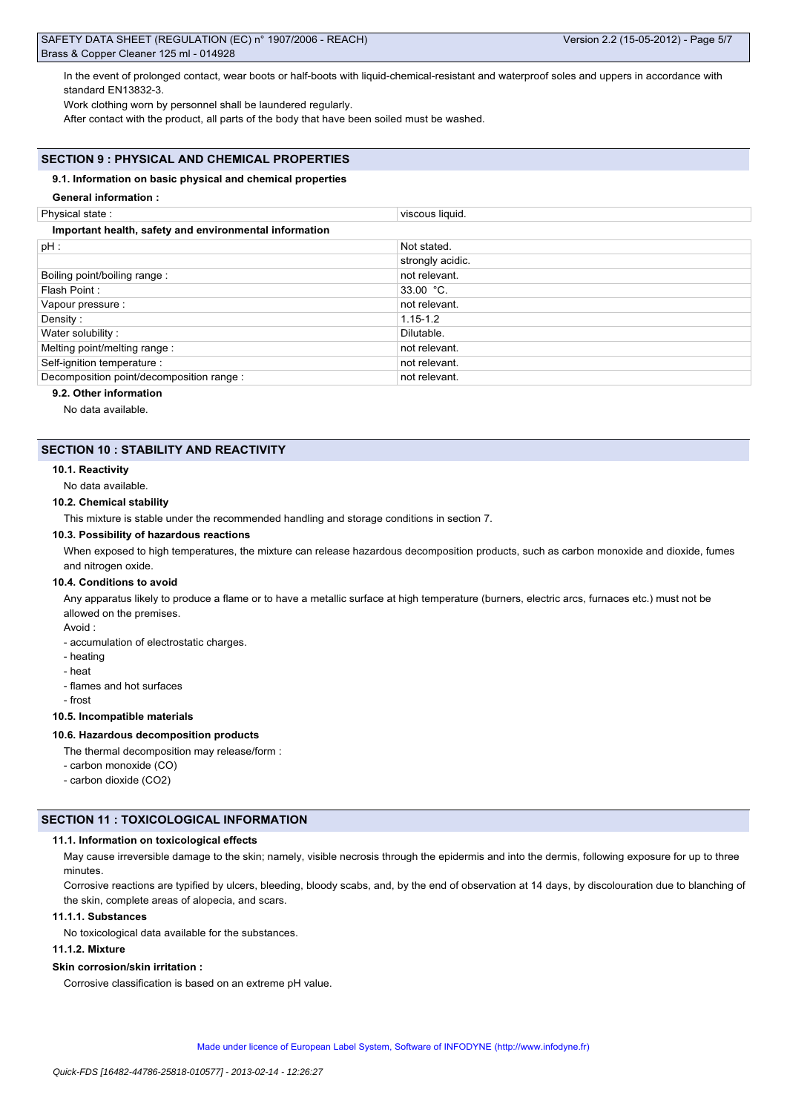In the event of prolonged contact, wear boots or half-boots with liquid-chemical-resistant and waterproof soles and uppers in accordance with standard EN13832-3.

Work clothing worn by personnel shall be laundered regularly.

After contact with the product, all parts of the body that have been soiled must be washed.

## **SECTION 9 : PHYSICAL AND CHEMICAL PROPERTIES**

#### **9.1. Information on basic physical and chemical properties**

#### **General information :**

Physical state : viscous liquid.

| Important health, safety and environmental information |                  |  |  |  |  |
|--------------------------------------------------------|------------------|--|--|--|--|
| $pH$ :                                                 | Not stated.      |  |  |  |  |
|                                                        | strongly acidic. |  |  |  |  |
| Boiling point/boiling range:                           | not relevant.    |  |  |  |  |
| Flash Point:                                           | $33.00 °C$ .     |  |  |  |  |
| Vapour pressure :                                      | not relevant.    |  |  |  |  |
| Density:                                               | $1.15 - 1.2$     |  |  |  |  |
| Water solubility:                                      | Dilutable.       |  |  |  |  |
| Melting point/melting range:                           | not relevant.    |  |  |  |  |
| Self-ignition temperature :                            | not relevant.    |  |  |  |  |
| Decomposition point/decomposition range :              | not relevant.    |  |  |  |  |
|                                                        |                  |  |  |  |  |

## **9.2. Other information**

No data available.

## **SECTION 10 : STABILITY AND REACTIVITY**

#### **10.1. Reactivity**

No data available.

#### **10.2. Chemical stability**

This mixture is stable under the recommended handling and storage conditions in section 7.

#### **10.3. Possibility of hazardous reactions**

When exposed to high temperatures, the mixture can release hazardous decomposition products, such as carbon monoxide and dioxide, fumes and nitrogen oxide.

#### **10.4. Conditions to avoid**

Any apparatus likely to produce a flame or to have a metallic surface at high temperature (burners, electric arcs, furnaces etc.) must not be allowed on the premises.

Avoid :

- accumulation of electrostatic charges.

- heating
- heat
- flames and hot surfaces
- frost

## **10.5. Incompatible materials**

#### **10.6. Hazardous decomposition products**

The thermal decomposition may release/form :

- carbon monoxide (CO)
- carbon dioxide (CO2)

## **SECTION 11 : TOXICOLOGICAL INFORMATION**

#### **11.1. Information on toxicological effects**

May cause irreversible damage to the skin; namely, visible necrosis through the epidermis and into the dermis, following exposure for up to three minutes.

Corrosive reactions are typified by ulcers, bleeding, bloody scabs, and, by the end of observation at 14 days, by discolouration due to blanching of the skin, complete areas of alopecia, and scars.

## **11.1.1. Substances**

No toxicological data available for the substances.

### **11.1.2. Mixture**

### **Skin corrosion/skin irritation :**

Corrosive classification is based on an extreme pH value.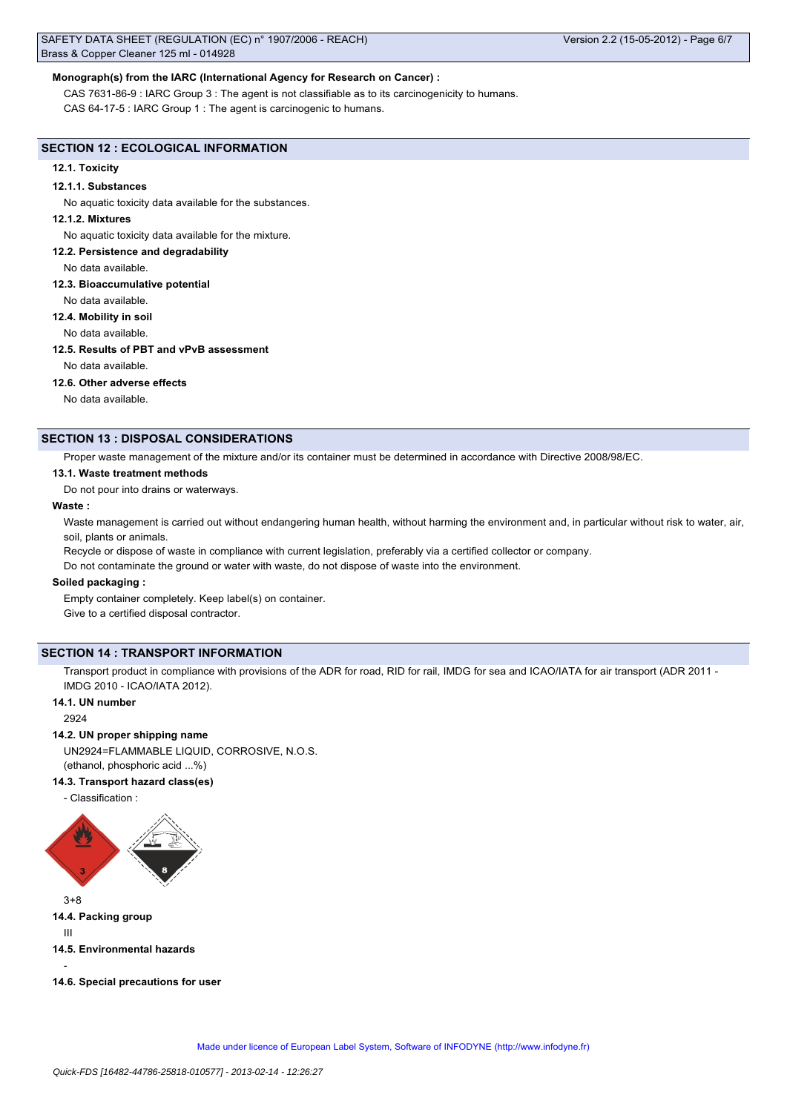## **Monograph(s) from the IARC (International Agency for Research on Cancer) :**

CAS 7631-86-9 : IARC Group 3 : The agent is not classifiable as to its carcinogenicity to humans. CAS 64-17-5 : IARC Group 1 : The agent is carcinogenic to humans.

#### **SECTION 12 : ECOLOGICAL INFORMATION**

#### **12.1. Toxicity**

#### **12.1.1. Substances**

No aquatic toxicity data available for the substances.

### **12.1.2. Mixtures**

No aquatic toxicity data available for the mixture.

**12.2. Persistence and degradability**

#### No data available.

#### **12.3. Bioaccumulative potential**

No data available.

**12.4. Mobility in soil**

No data available.

#### **12.5. Results of PBT and vPvB assessment**

No data available.

### **12.6. Other adverse effects**

No data available.

## **SECTION 13 : DISPOSAL CONSIDERATIONS**

Proper waste management of the mixture and/or its container must be determined in accordance with Directive 2008/98/EC.

### **13.1. Waste treatment methods**

Do not pour into drains or waterways.

#### **Waste :**

Waste management is carried out without endangering human health, without harming the environment and, in particular without risk to water, air, soil, plants or animals.

Recycle or dispose of waste in compliance with current legislation, preferably via a certified collector or company.

Do not contaminate the ground or water with waste, do not dispose of waste into the environment.

### **Soiled packaging :**

Empty container completely. Keep label(s) on container.

Give to a certified disposal contractor.

## **SECTION 14 : TRANSPORT INFORMATION**

Transport product in compliance with provisions of the ADR for road, RID for rail, IMDG for sea and ICAO/IATA for air transport (ADR 2011 -IMDG 2010 - ICAO/IATA 2012).

## **14.1. UN number**

2924

#### **14.2. UN proper shipping name**

UN2924=FLAMMABLE LIQUID, CORROSIVE, N.O.S. (ethanol, phosphoric acid ...%)

#### **14.3. Transport hazard class(es)**

- Classification :



3+8 **14.4. Packing group**

III

**14.5. Environmental hazards**

-

**14.6. Special precautions for user**